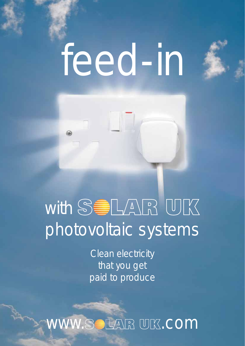## feed-in



## with  $\mathbb{S}$   $\blacksquare$   $\blacksquare$   $\blacksquare$   $\blacksquare$   $\blacksquare$   $\blacksquare$   $\blacksquare$ photovoltaic systems

Clean electricity that you get paid to produce

WW.SOLAR UK.COM